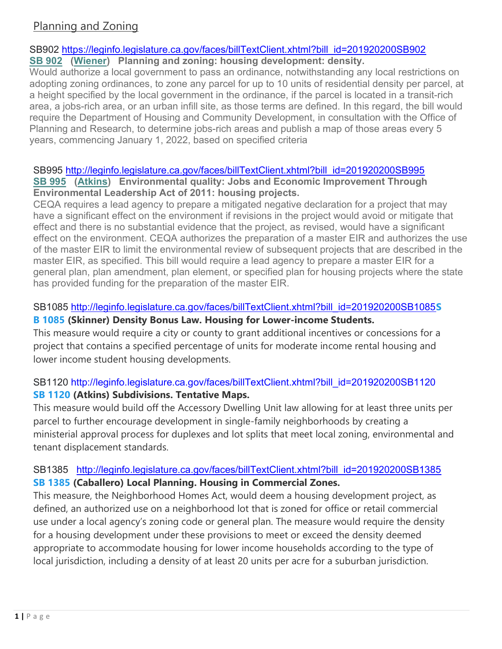# Planning and Zoning

### SB902 https://leginfo.legislature.ca.gov/faces/billTextClient.xhtml?bill\_id=201920200SB902

### SB 902 (Wiener) Planning and zoning: housing development: density.

Would authorize a local government to pass an ordinance, notwithstanding any local restrictions on adopting zoning ordinances, to zone any parcel for up to 10 units of residential density per parcel, at a height specified by the local government in the ordinance, if the parcel is located in a transit-rich area, a jobs-rich area, or an urban infill site, as those terms are defined. In this regard, the bill would require the Department of Housing and Community Development, in consultation with the Office of Planning and Research, to determine jobs-rich areas and publish a map of those areas every 5 years, commencing January 1, 2022, based on specified criteria

### SB995 http://leginfo.legislature.ca.gov/faces/billTextClient.xhtml?bill\_id=201920200SB995 SB 995 (Atkins) Environmental quality: Jobs and Economic Improvement Through Environmental Leadership Act of 2011: housing projects.

CEQA requires a lead agency to prepare a mitigated negative declaration for a project that may have a significant effect on the environment if revisions in the project would avoid or mitigate that effect and there is no substantial evidence that the project, as revised, would have a significant effect on the environment. CEQA authorizes the preparation of a master EIR and authorizes the use of the master EIR to limit the environmental review of subsequent projects that are described in the master EIR, as specified. This bill would require a lead agency to prepare a master EIR for a general plan, plan amendment, plan element, or specified plan for housing projects where the state has provided funding for the preparation of the master EIR.

## SB1085 http://leginfo.legislature.ca.gov/faces/billTextClient.xhtml?bill\_id=201920200SB1085S

### B 1085 (Skinner) Density Bonus Law. Housing for Lower-income Students.

This measure would require a city or county to grant additional incentives or concessions for a project that contains a specified percentage of units for moderate income rental housing and lower income student housing developments.

# SB1120 http://leginfo.legislature.ca.gov/faces/billTextClient.xhtml?bill\_id=201920200SB1120 SB 1120 (Atkins) Subdivisions. Tentative Maps.

This measure would build off the Accessory Dwelling Unit law allowing for at least three units per parcel to further encourage development in single-family neighborhoods by creating a ministerial approval process for duplexes and lot splits that meet local zoning, environmental and tenant displacement standards.

# SB1385 http://leginfo.legislature.ca.gov/faces/billTextClient.xhtml?bill\_id=201920200SB1385 SB 1385 (Caballero) Local Planning. Housing in Commercial Zones.

This measure, the Neighborhood Homes Act, would deem a housing development project, as defined, an authorized use on a neighborhood lot that is zoned for office or retail commercial use under a local agency's zoning code or general plan. The measure would require the density for a housing development under these provisions to meet or exceed the density deemed appropriate to accommodate housing for lower income households according to the type of local jurisdiction, including a density of at least 20 units per acre for a suburban jurisdiction.